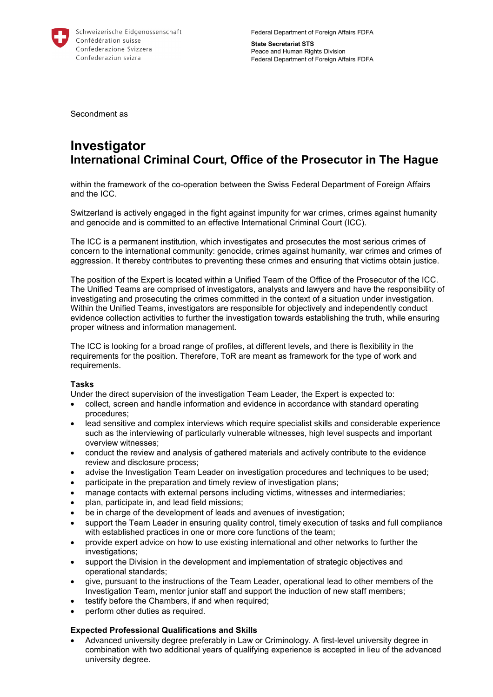

Federal Department of Foreign Affairs FDFA

**State Secretariat STS**  Peace and Human Rights Division Federal Department of Foreign Affairs FDFA

Secondment as

## **Investigator International Criminal Court, Office of the Prosecutor in The Hague**

within the framework of the co-operation between the Swiss Federal Department of Foreign Affairs and the ICC.

Switzerland is actively engaged in the fight against impunity for war crimes, crimes against humanity and genocide and is committed to an effective International Criminal Court (ICC).

The ICC is a permanent institution, which investigates and prosecutes the most serious crimes of concern to the international community: genocide, crimes against humanity, war crimes and crimes of aggression. It thereby contributes to preventing these crimes and ensuring that victims obtain justice.

The position of the Expert is located within a Unified Team of the Office of the Prosecutor of the ICC. The Unified Teams are comprised of investigators, analysts and lawyers and have the responsibility of investigating and prosecuting the crimes committed in the context of a situation under investigation. Within the Unified Teams, investigators are responsible for objectively and independently conduct evidence collection activities to further the investigation towards establishing the truth, while ensuring proper witness and information management.

The ICC is looking for a broad range of profiles, at different levels, and there is flexibility in the requirements for the position. Therefore, ToR are meant as framework for the type of work and requirements.

## **Tasks**

Under the direct supervision of the investigation Team Leader, the Expert is expected to:

- collect, screen and handle information and evidence in accordance with standard operating procedures;
- lead sensitive and complex interviews which require specialist skills and considerable experience such as the interviewing of particularly vulnerable witnesses, high level suspects and important overview witnesses;
- conduct the review and analysis of gathered materials and actively contribute to the evidence review and disclosure process;
- advise the Investigation Team Leader on investigation procedures and techniques to be used;
- participate in the preparation and timely review of investigation plans;
- manage contacts with external persons including victims, witnesses and intermediaries;
- plan, participate in, and lead field missions;
- be in charge of the development of leads and avenues of investigation;
- support the Team Leader in ensuring quality control, timely execution of tasks and full compliance with established practices in one or more core functions of the team;
- provide expert advice on how to use existing international and other networks to further the investigations;
- support the Division in the development and implementation of strategic objectives and operational standards;
- give, pursuant to the instructions of the Team Leader, operational lead to other members of the Investigation Team, mentor junior staff and support the induction of new staff members;
- testify before the Chambers, if and when required;
- perform other duties as required.

## **Expected Professional Qualifications and Skills**

 Advanced university degree preferably in Law or Criminology. A first-level university degree in combination with two additional years of qualifying experience is accepted in lieu of the advanced university degree.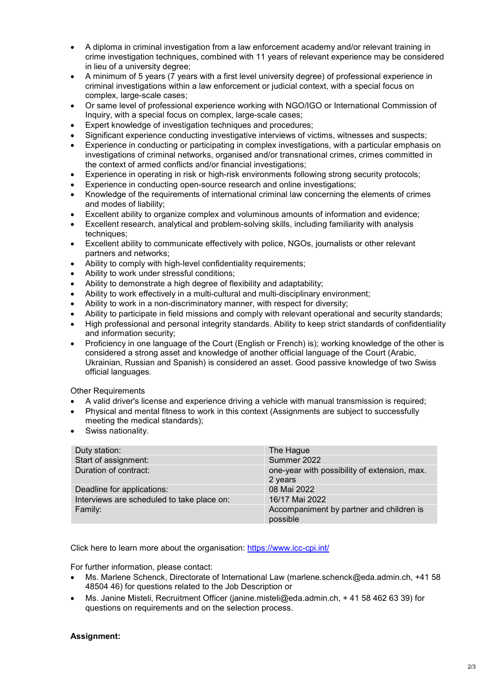- A diploma in criminal investigation from a law enforcement academy and/or relevant training in crime investigation techniques, combined with 11 years of relevant experience may be considered in lieu of a university degree;
- A minimum of 5 years (7 years with a first level university degree) of professional experience in criminal investigations within a law enforcement or judicial context, with a special focus on complex, large-scale cases;
- Or same level of professional experience working with NGO/IGO or International Commission of Inquiry, with a special focus on complex, large-scale cases;
- Expert knowledge of investigation techniques and procedures;
- Significant experience conducting investigative interviews of victims, witnesses and suspects;
- Experience in conducting or participating in complex investigations, with a particular emphasis on investigations of criminal networks, organised and/or transnational crimes, crimes committed in the context of armed conflicts and/or financial investigations;
- Experience in operating in risk or high-risk environments following strong security protocols;
- Experience in conducting open-source research and online investigations;
- Knowledge of the requirements of international criminal law concerning the elements of crimes and modes of liability;
- Excellent ability to organize complex and voluminous amounts of information and evidence;
- Excellent research, analytical and problem-solving skills, including familiarity with analysis techniques;
- Excellent ability to communicate effectively with police, NGOs, journalists or other relevant partners and networks;
- Ability to comply with high-level confidentiality requirements;
- Ability to work under stressful conditions;
- Ability to demonstrate a high degree of flexibility and adaptability;
- Ability to work effectively in a multi-cultural and multi-disciplinary environment;
- Ability to work in a non-discriminatory manner, with respect for diversity;
- Ability to participate in field missions and comply with relevant operational and security standards;
- High professional and personal integrity standards. Ability to keep strict standards of confidentiality and information security;
- Proficiency in one language of the Court (English or French) is); working knowledge of the other is considered a strong asset and knowledge of another official language of the Court (Arabic, Ukrainian, Russian and Spanish) is considered an asset. Good passive knowledge of two Swiss official languages.

Other Requirements

- A valid driver's license and experience driving a vehicle with manual transmission is required;
- Physical and mental fitness to work in this context (Assignments are subject to successfully meeting the medical standards);
- Swiss nationality.

| Duty station:                              | The Hague                                               |
|--------------------------------------------|---------------------------------------------------------|
| Start of assignment:                       | Summer 2022                                             |
| Duration of contract:                      | one-year with possibility of extension, max.<br>2 years |
| Deadline for applications:                 | 08 Mai 2022                                             |
| Interviews are scheduled to take place on: | 16/17 Mai 2022                                          |
| Family:                                    | Accompaniment by partner and children is<br>possible    |

Click here to learn more about the organisation: https://www.icc-cpi.int/

For further information, please contact:

- Ms. Marlene Schenck, Directorate of International Law (marlene.schenck@eda.admin.ch, +41 58 48504 46) for questions related to the Job Description or
- Ms. Janine Misteli, Recruitment Officer (janine.misteli@eda.admin.ch, + 41 58 462 63 39) for questions on requirements and on the selection process.